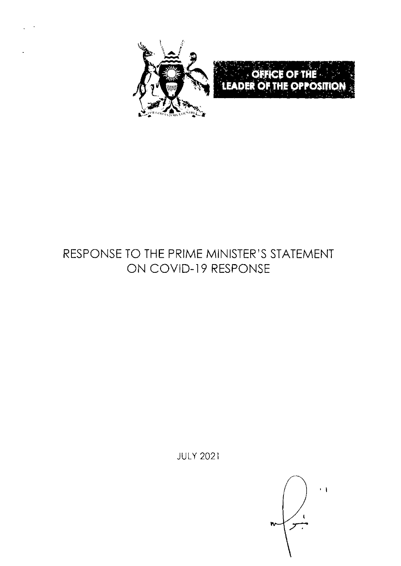

# RESPONSE TO THE PRIME MINISTER'S STATEMENT ON COVID-19 RESPONSE

**JULY 2021** 

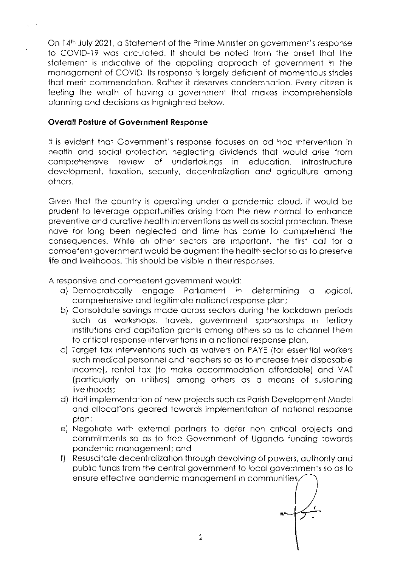On 14th July 2021, a Statement of the Prime Minister on government's response to COVID-19 was circulated. It should be noted from the onset that the statement is indicative of the appalling approach of government in the management of COVID. Its response is largely deficient of momentous strides that merit commendation. Rather it deserves condemnation. Every citizen is feeling the wrath of having a government that makes incomprehensible planning and decisions as highlighted below.

#### **Overall Posture of Government Response**

It is evident that Government's response focuses on ad hoc intervention in health and social protection neglecting dividends that would arise from comprehensive review of undertakings in education, infrastructure development, taxation, security, decentralization and agriculture among others.

Given that the country is operating under a pandemic cloud, it would be prudent to leverage opportunities arising from the new normal to enhance preventive and curative health interventions as well as social protection. These have for long been neglected and time has come to comprehend the consequences. While all other sectors are important, the first call for a competent government would be augment the health sector so as to preserve life and livelihoods. This should be visible in their responses,

A responsive and competent government would:

- a) Democratically engage Parliament in determining a logical, comprehensive and legitimate national response plan;
- b) Consolidate savings made across sectors during the lockdown periods such as workshops, travels, government sponsorships in tertiary institutions and capitation grants among others so as to channel them to critical response interventions in a national response plan,
- c) Target tax interventions such as waivers on PAYE (for essential workers such medical personnel and teachers so as to increase their disposable income), rental tax (to make accommodation affordable) and VAT (particularly on utilities) among others as a means of sustaining livelihoods:
- d) Halt implementation of new projects such as Parish Development Model and allocations geared towards implementation of national response plan:
- e) Negotiate with external partners to defer non critical projects and commitments so as to free Government of Uganda funding towards pandemic management; and
- f) Resuscitate decentralization through devolving of powers, authority and public funds from the central government to local governments so as to ensure effective pandemic management in communities,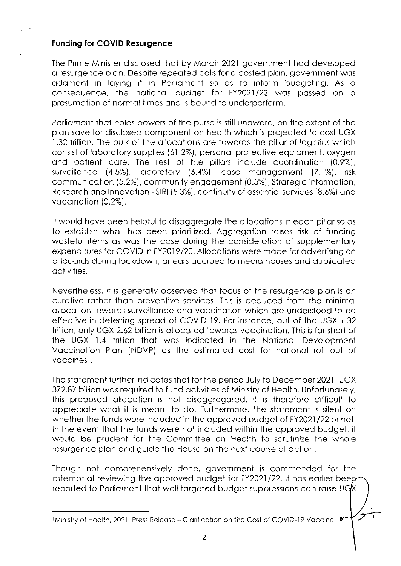### Funding for COVID Resurgence

The Pnme Minister disclosed thoi by Morch 2021 government hod developed o resurgence plon. Despite repeoted colls for o costed plon, government wos adamant in laying it in Parliament so as to inform budgeting. As a consequence, the national budget for FY2021/22 was passed on a presumption of normal times and is bound to underperform.

Parliament that holds powers of the purse is still unaware, on the extent of the plan save for disclosed component on health which is projected to cost UGX 1.32 trillion. The bulk of the allocations are towards the pillar of logistics which consist of laboratory supplies (61.2%), personal protective equipment, oxygen and patient care. The rest of the pillars include coordination (0.9%), surveillonce (4.5%), loborotory {6.4%), cose monogement 17.1%), risk communicotion (5.2%), communlty engogemenl (0.5%), Strotegic lnformotion, Research and Innovation - SIRI (5.3%), continuity of essential services (8.6%) and vaccination (0.2%).

It would have been helpful to disaggregate the allocations in each pillar so as to establish what has been prioritized. Aggregation raises risk of funding wasteful items as was the case during the consideration of supplementary expenditures for COVID in FY2019/20. Allocations were made for advertising on billboords durrng lockdown, orreors occrued to medro houses ond duplicoted octivitres.

Nevertheless, it is generolly observed thot focus of the resurgence plon is on curotive rother thon preveniive services, This is deduced from the minimol allocation towards surveillance and vaccination which are understood to be effective in deterring spread of COVID-19. For instance, out of the UGX 1.32 trillion, only UGX 2.62 billion is allocated towards vaccination. This is far short of the UGX 1.4 trillion that was indicated in the National Development Vaccination Plan (NDVP) as the estimated cost for national roll out of voccinesl.

The stotement further indicoies ihot for the period July to December 2021, UGX 372.87 billion was required to fund activities of Ministry of Health. Unfortunately, this proposed allocation is not disaggregated. It is therefore difficult to appreciate what it is meant to do. Furthermore, the statement is silent on whether the funds were included in the approved budget of FY2021/22 or not. In the event that the funds were not included within the approved budget, it would be prudent for the Committee on Health to scrutinize the whole resurgence plon ond guide the House on the next course of oction.

Though not comprehensively done, government is commended for lhe attempt at reviewing the approved budget for FY2021/22. It has earlier been reported to Parliament that well targeted budget suppressions can raise UGX

IMinistry of Health, 2021 Press Release - Clarification on the Cost of COVID-19 Vaccine  $\mathbf{\mathscr{V}}$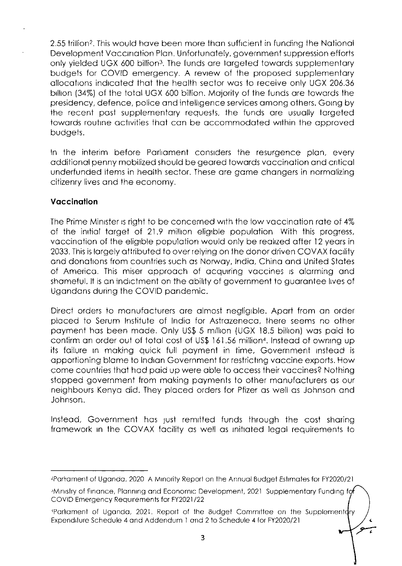2.55 trillion<sup>2</sup>. This would have been more than sufficient in funding the National Development Vaccination Plan. Unfortunately, government suppression efforts only yielded UGX 600 billion<sup>3</sup>. The funds are targeted towards supplementary budgets for COVID emergency. A review of the proposed supplementary allocations indicated that the health sector was to receive only UGX 206.36 billion (34%) of the total UGX 600 billion. Majority of the funds are towards the presidency, defence, police and intelligence services among others. Going by the recent past supplementary requests, the funds are usually targeted towards routine activities that can be accommodated within the approved budgets.

In the interim before Parliament considers the resurgence plan, every additional penny mobilized should be geared towards vaccination and critical underfunded items in health sector. These are game changers in normalizing citizenry lives and the economy.

## Vaccination

The Prime Minister is right to be concerned with the low vaccination rate of 4% of the initial target of 21.9 million eligible population. With this progress, vaccination of the eligible population would only be realized after 12 years in 2033. This is largely attributed to over relying on the donor driven COVAX facility and donations from countries such as Norway, India, China and United States of America. This miser approach of acquiring vaccines is alarming and shameful. It is an indictment on the ability of government to guarantee lives of Ugandans during the COVID pandemic.

Direct orders to manufacturers are almost negligible. Apart from an order placed to Serum Institute of India for Astrazeneca, there seems no other payment has been made. Only US\$ 5 million (UGX 18.5 billion) was paid to confirm an order out of total cost of US\$ 161.56 million<sup>4</sup>, Instead of owning up its failure in making quick full payment in time, Government instead is apportioning blame to Indian Government for restricting vaccine exports. How come countries that had paid up were able to access their vaccines? Nothing stopped government from making payments to other manufacturers as our neighbours Kenya did. They placed orders for Pfizer as well as Johnson and Johnson.

Instead, Government has just remitted funds through the cost sharing framework in the COVAX facility as well as initiated legal requirements to

<sup>&</sup>lt;sup>2</sup>Parliament of Uganda, 2020 A Minority Report on the Annual Budget Estimates for FY2020/21

<sup>&</sup>lt;sup>3</sup>Ministry of Finance, Planning and Economic Development, 2021 Supplementary Funding for COVID Emergency Requirements for FY2021/22

Parliament of Uganda, 2021. Report of the Budget Committee on the Supplementdry Expenditure Schedule 4 and Addendum 1 and 2 to Schedule 4 for FY2020/21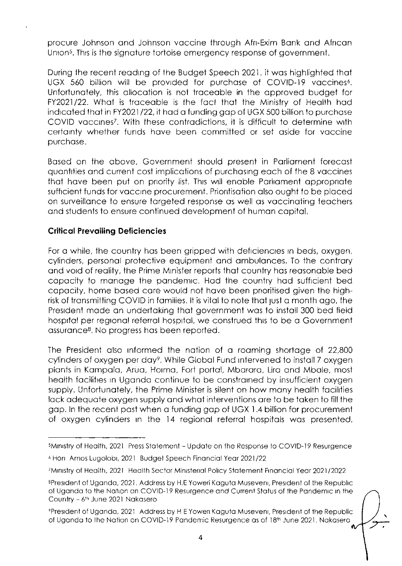procure Johnson and Johnson vaccine through Afri-Exim Bank and African Union<sup>5</sup>. This is the signature tortoise emergency response of government.

During the recent reading of the Budget Speech 2021, it was highlighted that UGX 560 billion will be provided for purchase of COVID-19 vaccines<sup>6</sup>. Unfortunately, this allocation is not traceable in the approved budget for FY2021/22. What is traceable is the fact that the Ministry of Health had indicated that in FY2021/22, it had a funding gap of UGX 500 billion to purchase COVID vaccines<sup>7</sup>. With these contradictions, it is difficult to determine with certainty whether funds have been committed or set aside for vaccine purchase.

Based on the above, Government should present in Parliament forecast guantities and current cost implications of purchasing each of the 8 vaccines that have been put on priority list. This will enable Parliament appropriate sufficient funds for vaccine procurement. Priorifisation also ought to be placed on surveillance to ensure targeted response as well as vaccinating teachers and students to ensure continued development of human capital.

### **Critical Prevailing Deficiencies**

For a while, the country has been gripped with deficiencies in beds, oxygen, cylinders, personal protective equipment and ambulances. To the contrary and void of reality, the Prime Minister reports that country has reasonable bed capacity to manage the pandemic. Had the country had sufficient bed capacity, home based care would not have been prioritised given the highrisk of transmitting COVID in families. It is vital to note that just a month ago, the President made an undertaking that government was to install 300 bed field hospital per regional referral hospital, we construed this to be a Government assurance<sup>8</sup>. No progress has been reported.

The President also informed the nation of a roaming shortage of 22,800 cylinders of oxygen per day<sup>9</sup>. While Global Fund intervened to install 7 oxygen plants in Kampala, Arua, Hoima, Fort portal, Mbarara, Lira and Mbale, most health facilities in Uganda continue to be constrained by insufficient oxygen supply. Unfortunately, the Prime Minister is silent on how many health facilities lack adequate oxygen supply and what interventions are to be taken to fill the gap. In the recent past when a funding gap of UGX 1.4 billion for procurement of oxygen cylinders in the 14 regional referral hospitals was presented,

<sup>5</sup>Ministry of Health, 2021 Press Statement - Update on the Response to COVID-19 Resurgence

<sup>6</sup> Hon Amos Lugolobi, 2021 Budget Speech Financial Year 2021/22

<sup>7</sup>Ministry of Health, 2021 Health Sector Ministerial Policy Statement Financial Year 2021/2022

<sup>8</sup>President of Uganda, 2021. Address by H.E Yoweri Kaguta Museveni, President of the Republic of Uganda to the Nation on COVID-19 Resurgence and Current Status of the Pandemic in the Country - 6th June 2021 Nakasero

<sup>9</sup>President of Uganda, 2021 Address by H.E. Yoweri Kaguta Museveni, President of the Republic of Uganda to the Nation on COVID-19 Pandemic Resurgence as of 18th June 2021, Nakasero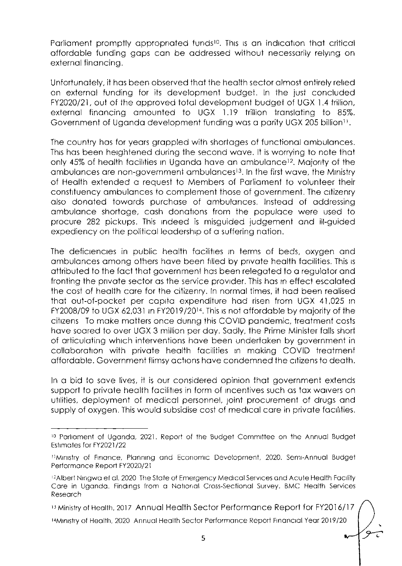Parliament promptly appropriated funds<sup>10</sup>. This is an indication that critical affordable funding gaps can be addressed without necessarily relying on external financing.

Unfortunately, it has been observed that the health sector almost entirely relied on external funding for its development budget. In the just concluded FY2020/21, out of the approved total development budget of UGX 1.4 trillion, external financing amounted to UGX 1.19 trillion translating to 85%. Government of Uganda development funding was a parity UGX 205 billion<sup>11</sup>.

The country has for years grappled with shortages of functional ambulances. This has been heightened during the second wave. It is worrying to note that only 45% of health facilities in Uganda have an ambulance<sup>12</sup>. Majority of the ambulances are non-government ambulances<sup>13</sup>. In the first wave, the Ministry of Health extended a request to Members of Parliament to volunteer their constituency ambulances to complement those of government. The citizenry also donated towards purchase of ambulances. Instead of addressing ambulance shortage, cash donations from the populace were used to procure 282 pickups. This indeed is misquided judgement and ill-quided expediency on the political leadership of a suffering nation.

The deficiencies in public health facilities in terms of beds, oxygen and ambulances among others have been filled by private health facilities. This is attributed to the fact that government has been relegated to a requidtor and fronting the private sector as the service provider. This has in effect escalated the cost of health care for the citizenry. In normal times, it had been realised that out-of-pocket per capita expenditure had risen from UGX 41,025 in FY2008/09 to UGX 62,031 in FY2019/20<sup>14</sup>. This is not affordable by majority of the citizens To make matters once during this COVID pandemic, treatment costs have soared to over UGX 3 million per day. Sadly, the Prime Minister falls short of articulating which interventions have been undertaken by government in collaboration with private health facilities in making COVID treatment affordable. Government flimsy actions have condemned the citizens to death.

In a bid to save lives, it is our considered opinion that government extends support to private health facilities in form of incentives such as tax waivers on utilities, deployment of medical personnel, joint procurement of drugs and supply of oxygen. This would subsidise cost of medical care in private facilities.

<sup>13</sup> Ministry of Health, 2017 Annual Health Sector Performance Report for FY2016/17

<sup>14</sup>Ministry of Health, 2020 Annual Health Sector Performance Report Financial Year 2019/20

<sup>&</sup>lt;sup>10</sup> Parliament of Uganda, 2021. Report of the Budget Committee on the Annual Budget Estimates for FY2021/22

<sup>&</sup>lt;sup>11</sup>Ministry of Finance, Planning and Economic Development, 2020. Semi-Annual Budget Performance Report FY2020/21

<sup>&</sup>lt;sup>12</sup>Albert Ningwa et al, 2020 The State of Emergency Medical Services and Acute Health Facility Care in Uganda. Findings from a National Cross-Sectional Survey. BMC Health Services Research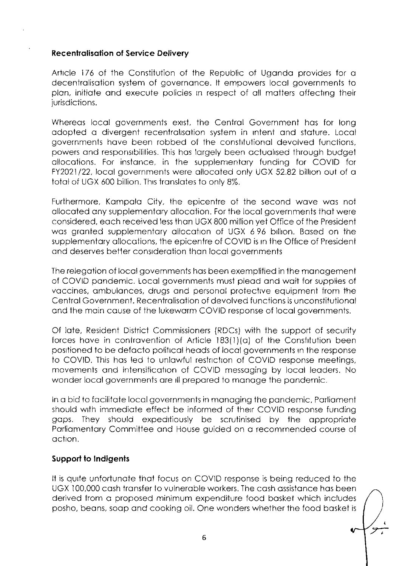### **Recentralisation of Service Delivery**

Article 176 of the Constitution of the Republic of Uganda provides for a decentralisation system of governance. It empowers local governments to plan, initiate and execute policies in respect of all matters affecting their jurisdictions.

Whereas local aovernments exist, the Central Government has for long adopted a divergent recentralisation system in intent and stature, Local governments have been robbed of the constitutional devolved functions, powers and responsibilities. This has largely been actualised through budget allocations. For instance, in the supplementary funding for COVID for FY2021/22, local governments were allocated only UGX 52.82 billion out of a total of UGX 600 billion. This translates to only 8%.

Furthermore, Kampala City, the epicentre of the second wave was not allocated any supplementary allocation. For the local governments that were considered, each received less than UGX 800 million yet Office of the President was granted supplementary allocation of UGX 696 billion. Based on the supplementary allocations, the epicentre of COVID is in the Office of President and deserves better consideration than local governments

The relegation of local governments has been exemplified in the management of COVID pandemic. Local governments must plead and wait for supplies of vaccines, ambulances, drugs and personal protective equipment from the Central Government, Recentralisation of devolved functions is unconstitutional and the main cause of the lukewarm COVID response of local governments.

Of late, Resident District Commissioners (RDCs) with the support of security forces have in contravention of Article 183(1)(a) of the Constitution been positioned to be defacto political heads of local governments in the response to COVID. This has led to unlawful restriction of COVID response meetings, movements and intensification of COVID messaging by local leaders. No wonder local governments are ill prepared to manage the pandemic.

In a bid to facilitate local governments in managing the pandemic, Parliament should with immediate effect be informed of their COVID response funding gaps. They should expeditiously be scrutinised by the appropriate Parliamentary Committee and House guided on a recommended course of action.

## Support to Indigents

It is quite unfortunate that focus on COVID response is being reduced to the UGX 100,000 cash transfer to vulnerable workers. The cash assistance has been derived from a proposed minimum expenditure food basket which includes posho, beans, soap and cooking oil. One wonders whether the food basket is

Ù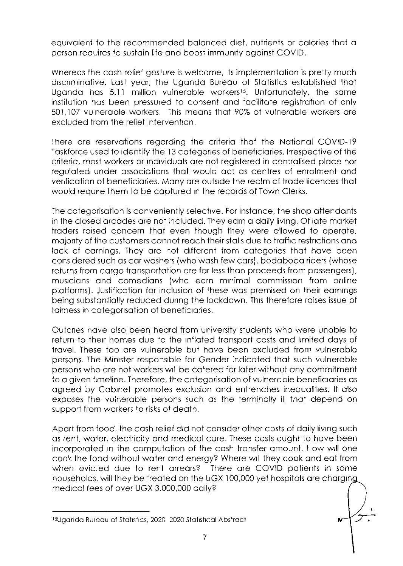equivalent to the recommended balanced diet, nutrients or calories that a person requires to sustain life and boost immunity against COVID.

Whereas the cash relief gesture is welcome, its implementation is pretty much discriminative. Last year, the Uganda Bureau of Statistics established that Uganda has 5.11 million vulnerable workers<sup>15</sup>. Unfortunately, the same institution has been pressured to consent and facilitate registration of only 501,107 vulnerable workers. This means that 90% of vulnerable workers are excluded from the relief intervention.

There are reservations regarding the criteria that the National COVID-19 Taskforce used to identify the 13 categories of beneficiaries. Irrespective of the criteria, most workers or individuals are not registered in centralised place nor regulated under associations that would act as centres of enrolment and verification of beneficiaries. Many are outside the realm of trade licences that would require them to be captured in the records of Town Clerks.

The categorisation is conveniently selective. For instance, the shop attendants in the closed arcades are not included. They earn a daily living. Of late market traders raised concern that even though they were allowed to operate, majority of the customers cannot reach their stalls due to traffic restrictions and lack of earnings. They are not different from categories that have been considered such as car washers (who wash few cars), bodaboda riders (whose returns from cargo transportation are far less than proceeds from passengers), musicians and comedians (who earn minimal commission from online platforms). Justification for inclusion of these was premised on their earnings being substantially reduced during the lockdown. This therefore raises issue of fairness in categorisation of beneficiaries.

Outcries have also been heard from university students who were unable to return to their homes due to the inflated transport costs and limited days of travel. These too are vulnerable but have been excluded from vulnerable persons. The Minister responsible for Gender indicated that such vulnerable persons who are not workers will be catered for later without any commitment to a given timeline. Therefore, the categorisation of vulnerable beneficiaries as agreed by Cabinet promotes exclusion and entrenches inequalities. It also exposes the vulnerable persons such as the terminally ill that depend on support from workers to risks of death.

Apart from food, the cash relief did not consider other costs of daily living such as rent, water, electricity and medical care. These costs ought to have been incorporated in the computation of the cash transfer amount. How will one cook the food without water and energy? Where will they cook and eat from when evicted due to rent arrears? There are COVID patients in some households, will they be treated on the UGX 100,000 yet hospitals are charging medical fees of over UGX 3,000,000 daily?

<sup>&</sup>lt;sup>15</sup>Uganda Bureau of Statistics, 2020 2020 Statistical Abstract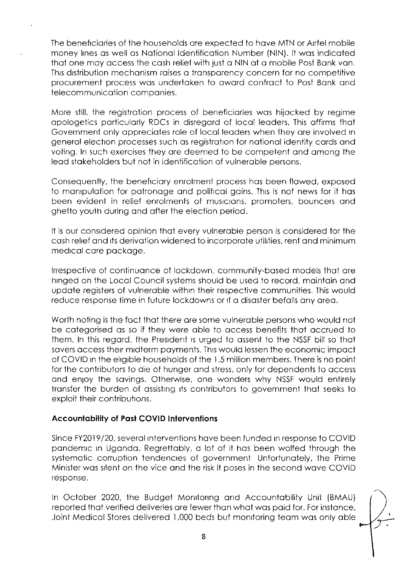The beneficiaries of the households are expected to have MTN or Airtel mobile money lines as well as National Identification Number (NIN). It was indicated that one may access the cash relief with just a NIN at a mobile Post Bank van. This distribution mechanism raises a transparency concern for no competitive procurement process was undertaken to award contract to Post Bank and telecommunication companies.

More still, the registration process of beneficiaries was hijacked by regime apologetics particularly RDCs in disregard of local leaders. This affirms that Government only appreciates role of local leaders when they are involved in general election processes such as registration for national identity cards and voting. In such exercises they are deemed to be competent and among the lead stakeholders but not in identification of vulnerable persons.

Consequently, the beneficiary enrolment process has been flawed, exposed to manipulation for patronage and political gains. This is not news for it has been evident in relief enrolments of musicians, promoters, bouncers and ghetto youth during and after the election period.

It is our considered opinion that every vulnerable person is considered for the cash relief and its derivation widened to incorporate utilities, rent and minimum medical care package.

Irrespective of continuance of lockdown, community-based models that are hinged on the Local Council systems should be used to record, maintain and update registers of vulnerable within their respective communities. This would reduce response time in future lockdowns or if a disaster befalls any area.

Worth noting is the fact that there are some vulnerable persons who would not be categorised as so if they were able to access benefits that accrued to them. In this regard, the President is urged to assent to the NSSF bill so that savers access their midterm payments. This would lessen the economic impact of COVID in the eligible households of the 1.5 million members. There is no point for the contributors to die of hunger and stress, only for dependents to access and enioy the savings. Otherwise, one wonders why NSSF would entirely transfer the burden of assisting its contributors to government that seeks to exploit their contributions.

## Accountability of Past COVID Interventions

Since FY2019/20, several interventions have been funded in response to COVID pandemic in Uganda. Regrettably, a lot of it has been wolfed through the systematic corruption tendencies of government Unfortunately, the Prime Minister was silent on the vice and the risk it poses in the second wave COVID response.

In October 2020, the Budget Monitoring and Accountability Unit (BMAU) reported that verified deliveries are fewer than what was paid for. For instance, Joint Medical Stores delivered 1,000 beds but monitoring team was only able